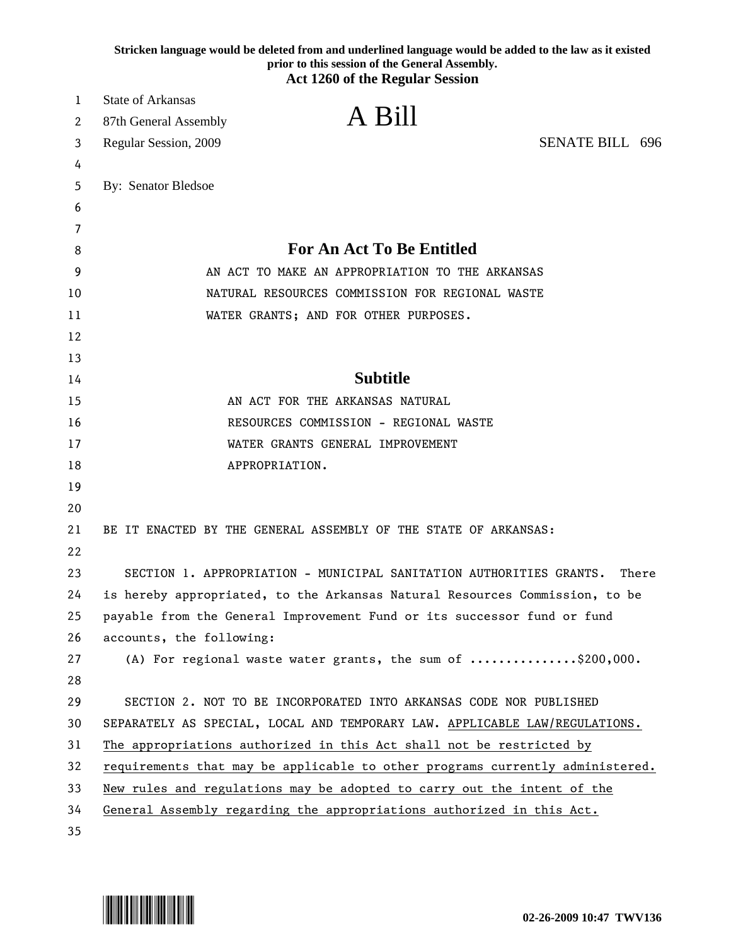|    | Stricken language would be deleted from and underlined language would be added to the law as it existed<br>prior to this session of the General Assembly.<br><b>Act 1260 of the Regular Session</b> |
|----|-----------------------------------------------------------------------------------------------------------------------------------------------------------------------------------------------------|
| 1  | <b>State of Arkansas</b>                                                                                                                                                                            |
| 2  | A Bill<br>87th General Assembly                                                                                                                                                                     |
| 3  | <b>SENATE BILL 696</b><br>Regular Session, 2009                                                                                                                                                     |
| 4  |                                                                                                                                                                                                     |
| 5  | By: Senator Bledsoe                                                                                                                                                                                 |
| 6  |                                                                                                                                                                                                     |
| 7  |                                                                                                                                                                                                     |
| 8  | <b>For An Act To Be Entitled</b>                                                                                                                                                                    |
| 9  | AN ACT TO MAKE AN APPROPRIATION TO THE ARKANSAS                                                                                                                                                     |
| 10 | NATURAL RESOURCES COMMISSION FOR REGIONAL WASTE                                                                                                                                                     |
| 11 | WATER GRANTS; AND FOR OTHER PURPOSES.                                                                                                                                                               |
| 12 |                                                                                                                                                                                                     |
| 13 |                                                                                                                                                                                                     |
| 14 | <b>Subtitle</b>                                                                                                                                                                                     |
| 15 | AN ACT FOR THE ARKANSAS NATURAL                                                                                                                                                                     |
| 16 | RESOURCES COMMISSION - REGIONAL WASTE                                                                                                                                                               |
| 17 | WATER GRANTS GENERAL IMPROVEMENT                                                                                                                                                                    |
| 18 | APPROPRIATION.                                                                                                                                                                                      |
| 19 |                                                                                                                                                                                                     |
| 20 |                                                                                                                                                                                                     |
| 21 | BE IT ENACTED BY THE GENERAL ASSEMBLY OF THE STATE OF ARKANSAS:                                                                                                                                     |
| 22 |                                                                                                                                                                                                     |
| 23 | SECTION 1. APPROPRIATION - MUNICIPAL SANITATION AUTHORITIES GRANTS.<br>There                                                                                                                        |
| 24 | is hereby appropriated, to the Arkansas Natural Resources Commission, to be                                                                                                                         |
| 25 | payable from the General Improvement Fund or its successor fund or fund                                                                                                                             |
| 26 | accounts, the following:                                                                                                                                                                            |
| 27 | (A) For regional waste water grants, the sum of $\ldots \ldots \ldots \ldots$ \$200,000.                                                                                                            |
| 28 |                                                                                                                                                                                                     |
| 29 | SECTION 2. NOT TO BE INCORPORATED INTO ARKANSAS CODE NOR PUBLISHED                                                                                                                                  |
| 30 | SEPARATELY AS SPECIAL, LOCAL AND TEMPORARY LAW. APPLICABLE LAW/REGULATIONS.                                                                                                                         |
| 31 | The appropriations authorized in this Act shall not be restricted by                                                                                                                                |
| 32 | requirements that may be applicable to other programs currently administered.                                                                                                                       |
| 33 | New rules and regulations may be adopted to carry out the intent of the                                                                                                                             |
| 34 | General Assembly regarding the appropriations authorized in this Act.                                                                                                                               |
| 35 |                                                                                                                                                                                                     |

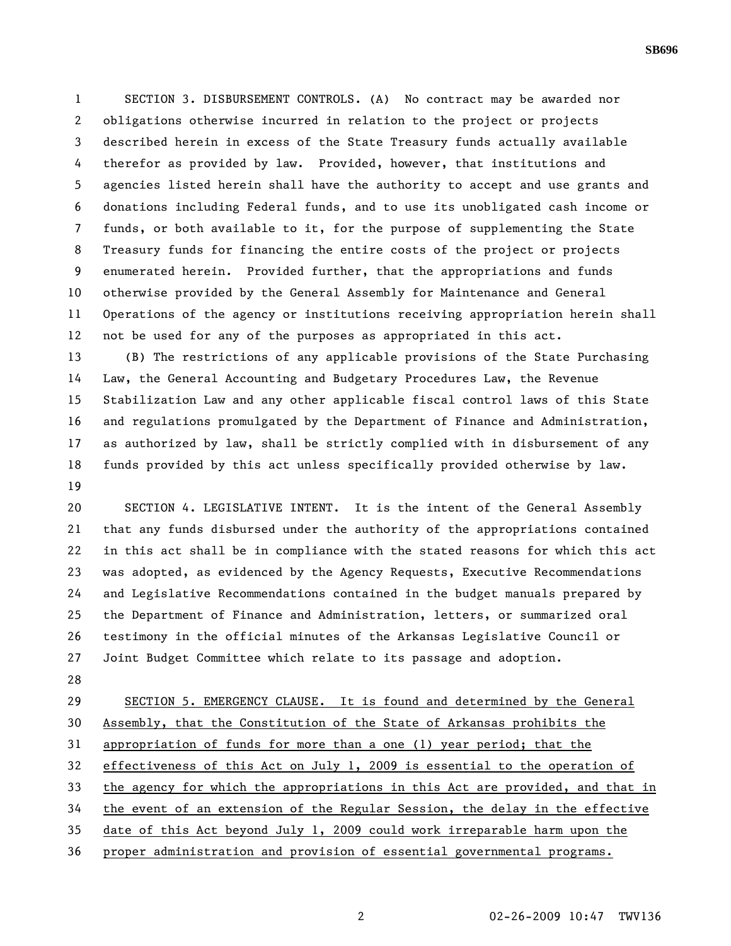1 SECTION 3. DISBURSEMENT CONTROLS. (A) No contract may be awarded nor 2 obligations otherwise incurred in relation to the project or projects 3 described herein in excess of the State Treasury funds actually available 4 therefor as provided by law. Provided, however, that institutions and 5 agencies listed herein shall have the authority to accept and use grants and 6 donations including Federal funds, and to use its unobligated cash income or 7 funds, or both available to it, for the purpose of supplementing the State 8 Treasury funds for financing the entire costs of the project or projects 9 enumerated herein. Provided further, that the appropriations and funds 10 otherwise provided by the General Assembly for Maintenance and General 11 Operations of the agency or institutions receiving appropriation herein shall 12 not be used for any of the purposes as appropriated in this act.

13 (B) The restrictions of any applicable provisions of the State Purchasing 14 Law, the General Accounting and Budgetary Procedures Law, the Revenue 15 Stabilization Law and any other applicable fiscal control laws of this State 16 and regulations promulgated by the Department of Finance and Administration, 17 as authorized by law, shall be strictly complied with in disbursement of any 18 funds provided by this act unless specifically provided otherwise by law. 19

20 SECTION 4. LEGISLATIVE INTENT. It is the intent of the General Assembly 21 that any funds disbursed under the authority of the appropriations contained 22 in this act shall be in compliance with the stated reasons for which this act 23 was adopted, as evidenced by the Agency Requests, Executive Recommendations 24 and Legislative Recommendations contained in the budget manuals prepared by 25 the Department of Finance and Administration, letters, or summarized oral 26 testimony in the official minutes of the Arkansas Legislative Council or 27 Joint Budget Committee which relate to its passage and adoption.

28

29 SECTION 5. EMERGENCY CLAUSE. It is found and determined by the General 30 Assembly, that the Constitution of the State of Arkansas prohibits the 31 appropriation of funds for more than a one (1) year period; that the 32 effectiveness of this Act on July 1, 2009 is essential to the operation of 33 the agency for which the appropriations in this Act are provided, and that in 34 the event of an extension of the Regular Session, the delay in the effective 35 date of this Act beyond July 1, 2009 could work irreparable harm upon the 36 proper administration and provision of essential governmental programs.

**SB696**